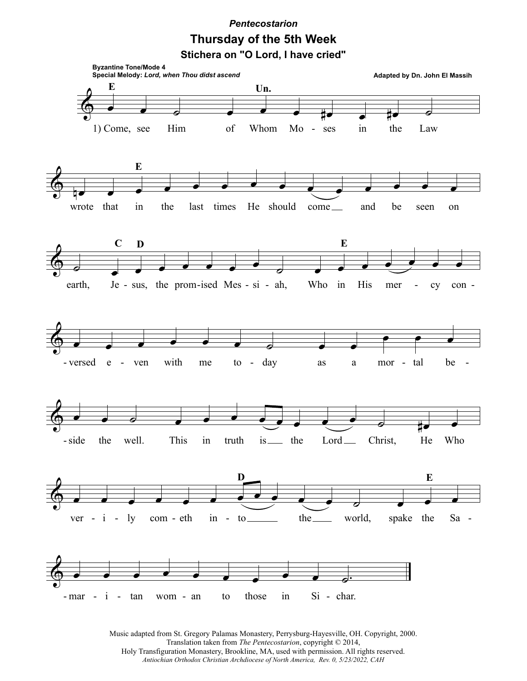## *Pentecostarion* **Thursday of the 5th Week**

**Stichera on "O Lord, I have cried"**



Music adapted from St. Gregory Palamas Monastery, Perrysburg-Hayesville, OH. Copyright, 2000. Translation taken from *The Pentecostarion*, copyright © 2014, Holy Transfiguration Monastery, Brookline, MA, used with permission. All rights reserved. *Antiochian Orthodox Christian Archdiocese of North America, Rev. 0, 5/23/2022, CAH*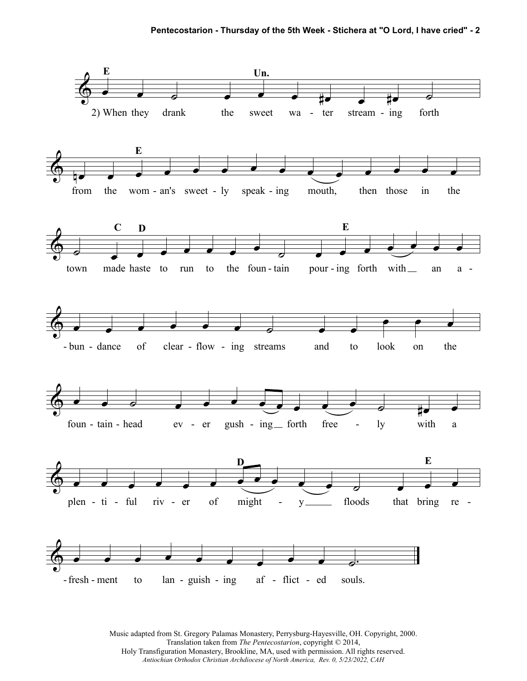

Music adapted from St. Gregory Palamas Monastery, Perrysburg-Hayesville, OH. Copyright, 2000. Translation taken from *The Pentecostarion*, copyright © 2014, Holy Transfiguration Monastery, Brookline, MA, used with permission. All rights reserved. *Antiochian Orthodox Christian Archdiocese of North America, Rev. 0, 5/23/2022, CAH*